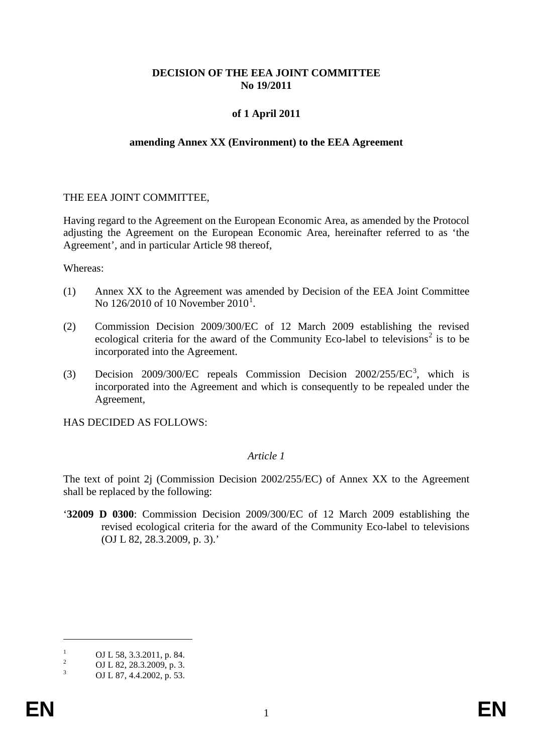# **DECISION OF THE EEA JOINT COMMITTEE No 19/2011**

# **of 1 April 2011**

#### **amending Annex XX (Environment) to the EEA Agreement**

#### THE EEA JOINT COMMITTEE,

Having regard to the Agreement on the European Economic Area, as amended by the Protocol adjusting the Agreement on the European Economic Area, hereinafter referred to as 'the Agreement', and in particular Article 98 thereof,

Whereas:

- (1) Annex XX to the Agreement was amended by Decision of the EEA Joint Committee No [1](#page-0-0)26/2010 of 10 November 2010<sup>1</sup>.
- (2) Commission Decision 2009/300/EC of 12 March 2009 establishing the revised ecological criteria for the award of the Community Eco-label to televisions<sup>[2](#page-0-1)</sup> is to be incorporated into the Agreement.
- (3) Decision 2009/300/EC repeals Commission Decision 2002/255/EC[3](#page-0-2) , which is incorporated into the Agreement and which is consequently to be repealed under the Agreement,

HAS DECIDED AS FOLLOWS:

# *Article 1*

The text of point 2j (Commission Decision 2002/255/EC) of Annex XX to the Agreement shall be replaced by the following:

'**32009 D 0300**: Commission Decision 2009/300/EC of 12 March 2009 establishing the revised ecological criteria for the award of the Community Eco-label to televisions (OJ L 82, 28.3.2009, p. 3).'

 $\overline{a}$ 

<span id="page-0-1"></span><span id="page-0-0"></span><sup>&</sup>lt;sup>1</sup> OJ L 58, 3.3.2011, p. 84.<br><sup>2</sup> OJ L 82, 28.3.2009, p. 3.<br><sup>3</sup> OJ L 87, 4.4.2002, p. 53.

<span id="page-0-3"></span><span id="page-0-2"></span>